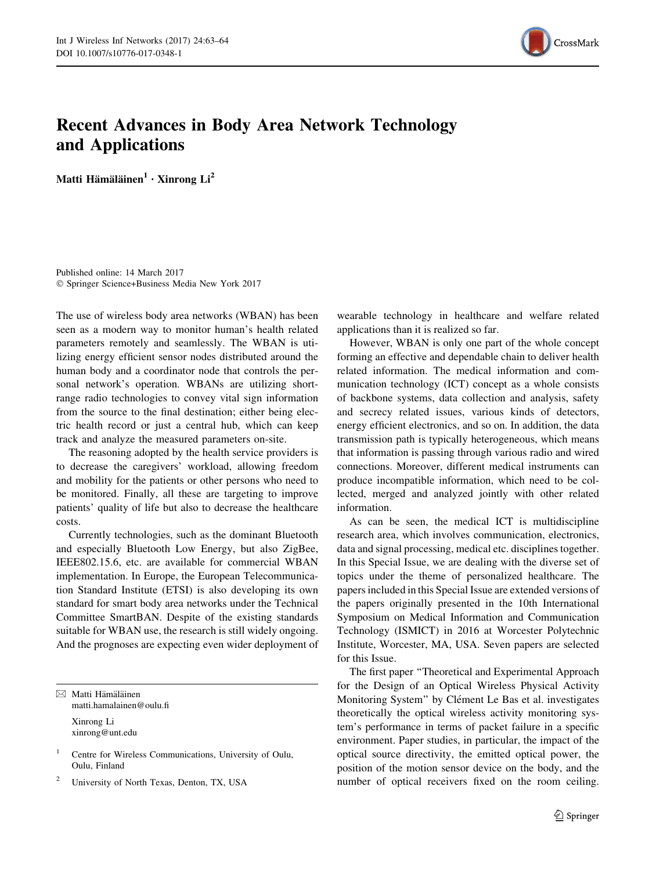

## Recent Advances in Body Area Network Technology and Applications

Matti Hämäläinen<sup>1</sup> • Xinrong Li<sup>2</sup>

Published online: 14 March 2017 - Springer Science+Business Media New York 2017

The use of wireless body area networks (WBAN) has been seen as a modern way to monitor human's health related parameters remotely and seamlessly. The WBAN is utilizing energy efficient sensor nodes distributed around the human body and a coordinator node that controls the personal network's operation. WBANs are utilizing shortrange radio technologies to convey vital sign information from the source to the final destination; either being electric health record or just a central hub, which can keep track and analyze the measured parameters on-site.

The reasoning adopted by the health service providers is to decrease the caregivers' workload, allowing freedom and mobility for the patients or other persons who need to be monitored. Finally, all these are targeting to improve patients' quality of life but also to decrease the healthcare costs.

Currently technologies, such as the dominant Bluetooth and especially Bluetooth Low Energy, but also ZigBee, IEEE802.15.6, etc. are available for commercial WBAN implementation. In Europe, the European Telecommunication Standard Institute (ETSI) is also developing its own standard for smart body area networks under the Technical Committee SmartBAN. Despite of the existing standards suitable for WBAN use, the research is still widely ongoing. And the prognoses are expecting even wider deployment of

 $⊠$  Matti Hämäläinen matti.hamalainen@oulu.fi Xinrong Li

xinrong@unt.edu

Centre for Wireless Communications, University of Oulu, Oulu, Finland

<sup>2</sup> University of North Texas, Denton, TX, USA

wearable technology in healthcare and welfare related applications than it is realized so far.

However, WBAN is only one part of the whole concept forming an effective and dependable chain to deliver health related information. The medical information and communication technology (ICT) concept as a whole consists of backbone systems, data collection and analysis, safety and secrecy related issues, various kinds of detectors, energy efficient electronics, and so on. In addition, the data transmission path is typically heterogeneous, which means that information is passing through various radio and wired connections. Moreover, different medical instruments can produce incompatible information, which need to be collected, merged and analyzed jointly with other related information.

As can be seen, the medical ICT is multidiscipline research area, which involves communication, electronics, data and signal processing, medical etc. disciplines together. In this Special Issue, we are dealing with the diverse set of topics under the theme of personalized healthcare. The papers included in this Special Issue are extended versions of the papers originally presented in the 10th International Symposium on Medical Information and Communication Technology (ISMICT) in 2016 at Worcester Polytechnic Institute, Worcester, MA, USA. Seven papers are selected for this Issue.

The first paper ''Theoretical and Experimental Approach for the Design of an Optical Wireless Physical Activity Monitoring System" by Clément Le Bas et al. investigates theoretically the optical wireless activity monitoring system's performance in terms of packet failure in a specific environment. Paper studies, in particular, the impact of the optical source directivity, the emitted optical power, the position of the motion sensor device on the body, and the number of optical receivers fixed on the room ceiling.